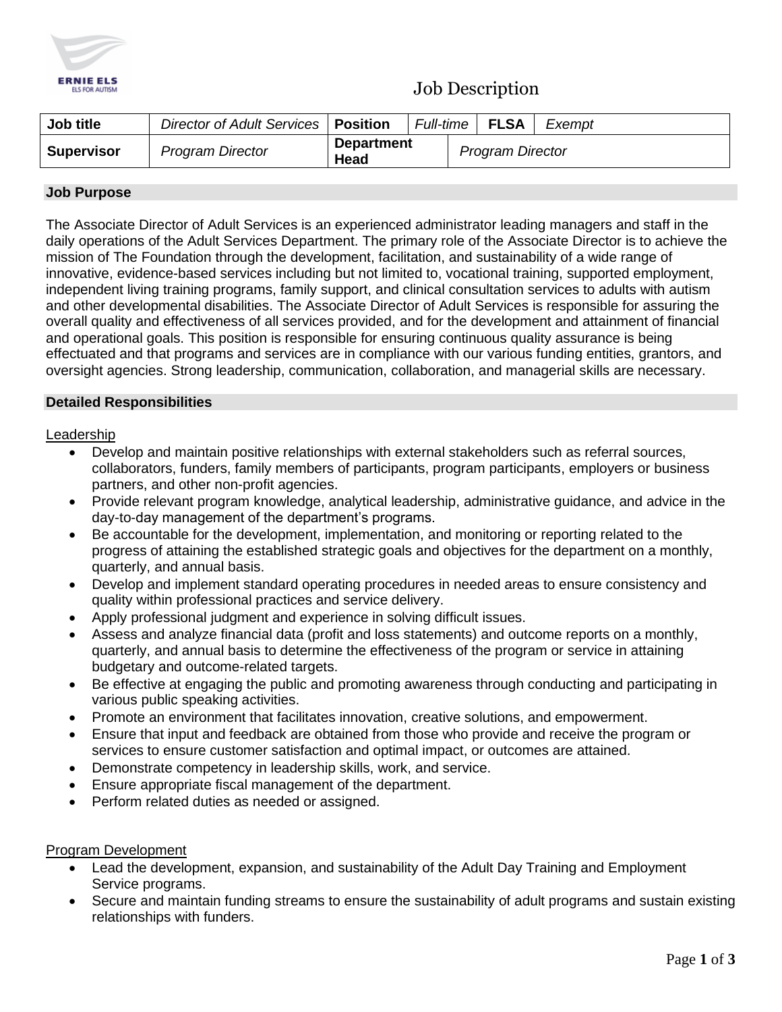

## Job Description

| Job title         | Director of Adult Services   Position |                           | Full-time I |                         | FLSA | Exempt |
|-------------------|---------------------------------------|---------------------------|-------------|-------------------------|------|--------|
| <b>Supervisor</b> | <b>Program Director</b>               | <b>Department</b><br>Head |             | <b>Program Director</b> |      |        |

### **Job Purpose**

The Associate Director of Adult Services is an experienced administrator leading managers and staff in the daily operations of the Adult Services Department. The primary role of the Associate Director is to achieve the mission of The Foundation through the development, facilitation, and sustainability of a wide range of innovative, evidence-based services including but not limited to, vocational training, supported employment, independent living training programs, family support, and clinical consultation services to adults with autism and other developmental disabilities. The Associate Director of Adult Services is responsible for assuring the overall quality and effectiveness of all services provided, and for the development and attainment of financial and operational goals. This position is responsible for ensuring continuous quality assurance is being effectuated and that programs and services are in compliance with our various funding entities, grantors, and oversight agencies. Strong leadership, communication, collaboration, and managerial skills are necessary.

#### **Detailed Responsibilities**

#### Leadership

- Develop and maintain positive relationships with external stakeholders such as referral sources, collaborators, funders, family members of participants, program participants, employers or business partners, and other non-profit agencies.
- Provide relevant program knowledge, analytical leadership, administrative guidance, and advice in the day-to-day management of the department's programs.
- Be accountable for the development, implementation, and monitoring or reporting related to the progress of attaining the established strategic goals and objectives for the department on a monthly, quarterly, and annual basis.
- Develop and implement standard operating procedures in needed areas to ensure consistency and quality within professional practices and service delivery.
- Apply professional judgment and experience in solving difficult issues.
- Assess and analyze financial data (profit and loss statements) and outcome reports on a monthly, quarterly, and annual basis to determine the effectiveness of the program or service in attaining budgetary and outcome-related targets.
- Be effective at engaging the public and promoting awareness through conducting and participating in various public speaking activities.
- Promote an environment that facilitates innovation, creative solutions, and empowerment.
- Ensure that input and feedback are obtained from those who provide and receive the program or services to ensure customer satisfaction and optimal impact, or outcomes are attained.
- Demonstrate competency in leadership skills, work, and service.
- Ensure appropriate fiscal management of the department.
- Perform related duties as needed or assigned.

#### Program Development

- Lead the development, expansion, and sustainability of the Adult Day Training and Employment Service programs.
- Secure and maintain funding streams to ensure the sustainability of adult programs and sustain existing relationships with funders.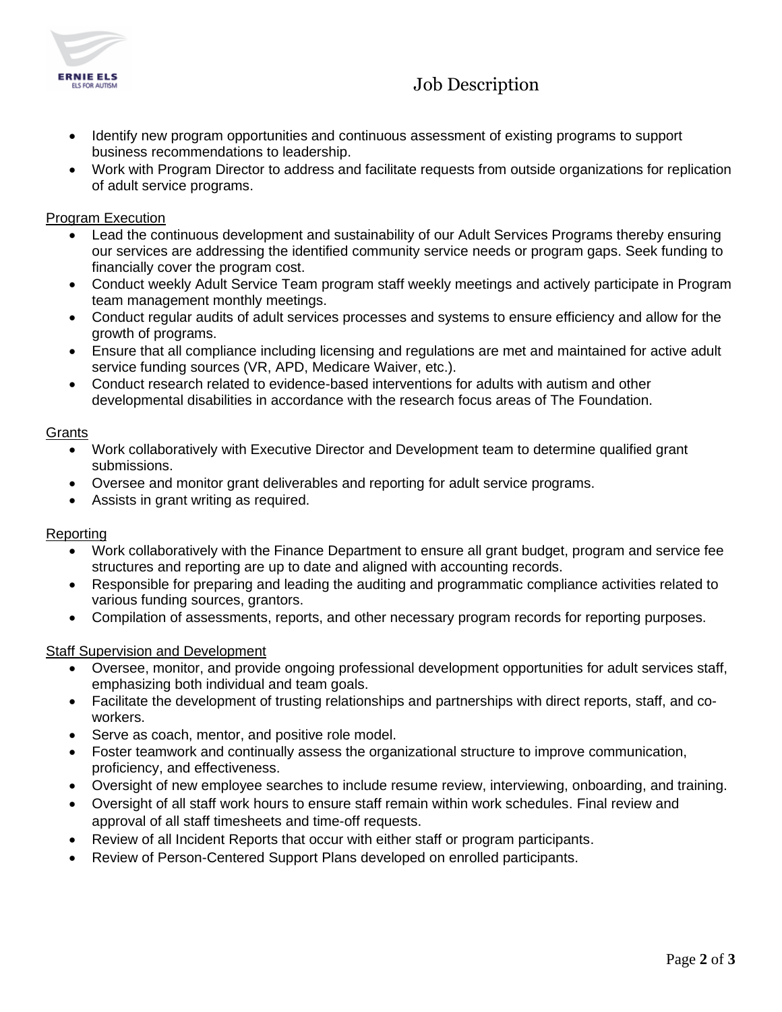

# Job Description

- Identify new program opportunities and continuous assessment of existing programs to support business recommendations to leadership.
- Work with Program Director to address and facilitate requests from outside organizations for replication of adult service programs.

## Program Execution

- Lead the continuous development and sustainability of our Adult Services Programs thereby ensuring our services are addressing the identified community service needs or program gaps. Seek funding to financially cover the program cost.
- Conduct weekly Adult Service Team program staff weekly meetings and actively participate in Program team management monthly meetings.
- Conduct regular audits of adult services processes and systems to ensure efficiency and allow for the growth of programs.
- Ensure that all compliance including licensing and regulations are met and maintained for active adult service funding sources (VR, APD, Medicare Waiver, etc.).
- Conduct research related to evidence-based interventions for adults with autism and other developmental disabilities in accordance with the research focus areas of The Foundation.

#### Grants

- Work collaboratively with Executive Director and Development team to determine qualified grant submissions.
- Oversee and monitor grant deliverables and reporting for adult service programs.
- Assists in grant writing as required.

## Reporting

- Work collaboratively with the Finance Department to ensure all grant budget, program and service fee structures and reporting are up to date and aligned with accounting records.
- Responsible for preparing and leading the auditing and programmatic compliance activities related to various funding sources, grantors.
- Compilation of assessments, reports, and other necessary program records for reporting purposes.

## Staff Supervision and Development

- Oversee, monitor, and provide ongoing professional development opportunities for adult services staff, emphasizing both individual and team goals.
- Facilitate the development of trusting relationships and partnerships with direct reports, staff, and coworkers.
- Serve as coach, mentor, and positive role model.
- Foster teamwork and continually assess the organizational structure to improve communication, proficiency, and effectiveness.
- Oversight of new employee searches to include resume review, interviewing, onboarding, and training.
- Oversight of all staff work hours to ensure staff remain within work schedules. Final review and approval of all staff timesheets and time-off requests.
- Review of all Incident Reports that occur with either staff or program participants.
- Review of Person-Centered Support Plans developed on enrolled participants.